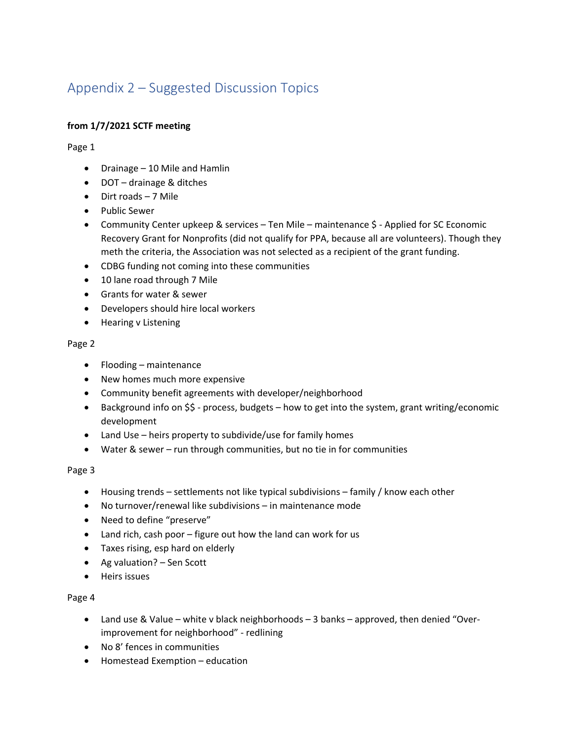# Appendix 2 – Suggested Discussion Topics

# **from 1/7/2021 SCTF meeting**

Page 1

- Drainage 10 Mile and Hamlin
- DOT drainage & ditches
- Dirt roads 7 Mile
- Public Sewer
- Community Center upkeep & services Ten Mile maintenance \$ Applied for SC Economic Recovery Grant for Nonprofits (did not qualify for PPA, because all are volunteers). Though they meth the criteria, the Association was not selected as a recipient of the grant funding.
- CDBG funding not coming into these communities
- 10 lane road through 7 Mile
- Grants for water & sewer
- Developers should hire local workers
- Hearing v Listening

#### Page 2

- Flooding maintenance
- New homes much more expensive
- Community benefit agreements with developer/neighborhood
- Background info on \$\$ process, budgets how to get into the system, grant writing/economic development
- Land Use heirs property to subdivide/use for family homes
- Water & sewer run through communities, but no tie in for communities

## Page 3

- Housing trends settlements not like typical subdivisions family / know each other
- No turnover/renewal like subdivisions in maintenance mode
- Need to define "preserve"
- Land rich, cash poor figure out how the land can work for us
- Taxes rising, esp hard on elderly
- Ag valuation? Sen Scott
- Heirs issues

## Page 4

- Land use & Value white v black neighborhoods 3 banks approved, then denied "Overimprovement for neighborhood" - redlining
- No 8' fences in communities
- Homestead Exemption education